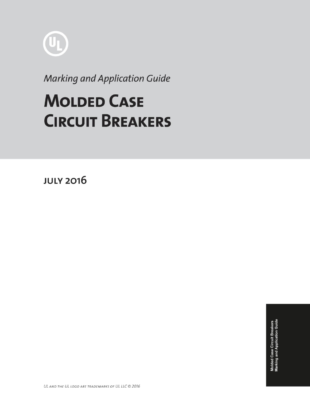

**Marking and Application Guide** 

# **MOLDED CASE CIRCUIT BREAKERS**

**JULY 2016**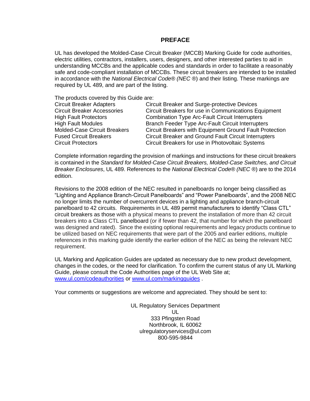#### **PREFACE**

UL has developed the Molded-Case Circuit Breaker (MCCB) Marking Guide for code authorities, electric utilities, contractors, installers, users, designers, and other interested parties to aid in understanding MCCBs and the applicable codes and standards in order to facilitate a reasonably safe and code-compliant installation of MCCBs. These circuit breakers are intended to be installed in accordance with the *National Electrical Code® (NEC* ®) and their listing. These markings are required by UL 489, and are part of the listing.

The products covered by this Guide are:

| <b>Circuit Breaker Adapters</b>    | <b>Circuit Breaker and Surge-protective Devices</b>          |
|------------------------------------|--------------------------------------------------------------|
| <b>Circuit Breaker Accessories</b> | Circuit Breakers for use in Communications Equipment         |
| <b>High Fault Protectors</b>       | <b>Combination Type Arc-Fault Circuit Interrupters</b>       |
| <b>High Fault Modules</b>          | Branch Feeder Type Arc-Fault Circuit Interrupters            |
| Molded-Case Circuit Breakers       | Circuit Breakers with Equipment Ground Fault Protection      |
| <b>Fused Circuit Breakers</b>      | <b>Circuit Breaker and Ground Fault Circuit Interrupters</b> |
| <b>Circuit Protectors</b>          | Circuit Breakers for use in Photovoltaic Systems             |
|                                    |                                                              |

Complete information regarding the provision of markings and instructions for these circuit breakers is contained in the *Standard for Molded-Case Circuit Breakers, Molded-Case Switches, and Circuit Breaker Enclosures*, UL 489. References to the *National Electrical Code® (NEC* ®) are to the 2014 edition.

Revisions to the 2008 edition of the NEC resulted in panelboards no longer being classified as "Lighting and Appliance Branch-Circuit Panelboards" and "Power Panelboards", and the 2008 NEC no longer limits the number of overcurrent devices in a lighting and appliance branch-circuit panelboard to 42 circuits. Requirements in UL 489 permit manufacturers to identify "Class CTL" circuit breakers as those with a physical means to prevent the installation of more than 42 circuit breakers into a Class CTL panelboard (or if fewer than 42, that number for which the panelboard was designed and rated). Since the existing optional requirements and legacy products continue to be utilized based on NEC requirements that were part of the 2005 and earlier editions, multiple references in this marking guide identify the earlier edition of the NEC as being the relevant NEC requirement.

UL Marking and Application Guides are updated as necessary due to new product development, changes in the codes, or the need for clarification. To confirm the current status of any UL Marking Guide, please consult the Code Authorities page of the UL Web Site at; [www.ul.com/codeauthorities](http://www.ul.com/codeauthorities) or [www.ul.com/markingguides](http://www.ul.com/markingguides) .

Your comments or suggestions are welcome and appreciated. They should be sent to:

UL Regulatory Services Department UL 333 Pfingsten Road Northbrook, IL 60062 ulregulatoryservices@ul.com 800-595-9844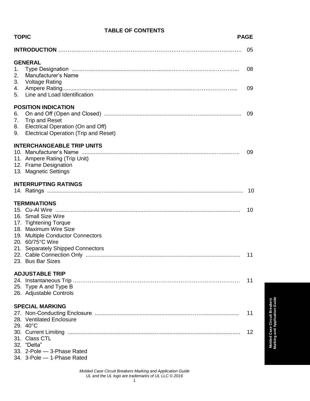| <b>TABLE OF CONTENTS</b>   |                                                                                                                                                                                            |             |
|----------------------------|--------------------------------------------------------------------------------------------------------------------------------------------------------------------------------------------|-------------|
| <b>TOPIC</b>               |                                                                                                                                                                                            | <b>PAGE</b> |
|                            |                                                                                                                                                                                            | 05          |
| 1.<br>2.<br>3.<br>4.<br>5. | <b>GENERAL</b><br>Manufacturer's Name<br><b>Voltage Rating</b><br>Line and Load Identification                                                                                             | 08<br>09    |
| 6.<br>7.<br>8.<br>9.       | <b>POSITION INDICATION</b><br><b>Trip and Reset</b><br>Electrical Operation (On and Off)<br>Electrical Operation (Trip and Reset)                                                          | 09          |
|                            | <b>INTERCHANGEABLE TRIP UNITS</b><br>11. Ampere Rating (Trip Unit)<br>12. Frame Designation<br>13. Magnetic Settings                                                                       | 09          |
|                            | <b>INTERRUPTING RATINGS</b>                                                                                                                                                                |             |
|                            |                                                                                                                                                                                            | 10          |
|                            | <b>TERMINATIONS</b><br>16. Small Size Wire<br>17. Tightening Torque<br>18. Maximum Wire Size<br>19. Multiple Conductor Connectors<br>20. 60/75°C Wire<br>21. Separately Shipped Connectors | 10          |
|                            | 23. Bus Bar Sizes                                                                                                                                                                          | 11          |
|                            | <b>ADJUSTABLE TRIP</b><br>25. Type A and Type B<br>26. Adjustable Controls                                                                                                                 | 11          |
|                            | <b>SPECIAL MARKING</b>                                                                                                                                                                     |             |
|                            | 28. Ventilated Enclosure<br>29. 40°C                                                                                                                                                       | 11          |
|                            | 31. Class CTL<br>32. "Delta"                                                                                                                                                               | 12          |
|                            | 33. 2-Pole - 3-Phase Rated<br>34. 3-Pole - 1-Phase Rated                                                                                                                                   |             |

#### *Molded Case Circuit Breakers Marking and Application Guide UL and the UL logo are trademarks of UL LLC © 2016* 1

**Molded Case Circuit Breakers Marking and Application Guide**

**Molded Case Circuit Breakers**<br>Marking and Application Guide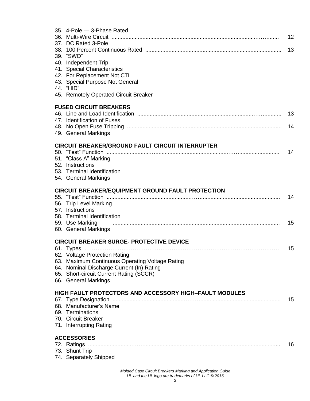| 35. 4-Pole - 3-Phase Rated<br>37. DC Rated 3-Pole                                                                                                                                                                              | 12 |
|--------------------------------------------------------------------------------------------------------------------------------------------------------------------------------------------------------------------------------|----|
| 39. "SWD"                                                                                                                                                                                                                      | 13 |
| 40. Independent Trip<br>41. Special Characteristics                                                                                                                                                                            |    |
| 42. For Replacement Not CTL                                                                                                                                                                                                    |    |
| 43. Special Purpose Not General                                                                                                                                                                                                |    |
| 44. "HID"                                                                                                                                                                                                                      |    |
| 45. Remotely Operated Circuit Breaker                                                                                                                                                                                          |    |
| <b>FUSED CIRCUIT BREAKERS</b>                                                                                                                                                                                                  | 13 |
| 47. Identification of Fuses                                                                                                                                                                                                    |    |
|                                                                                                                                                                                                                                | 14 |
| 49. General Markings                                                                                                                                                                                                           |    |
| <b>CIRCUIT BREAKER/GROUND FAULT CIRCUIT INTERRUPTER</b>                                                                                                                                                                        |    |
|                                                                                                                                                                                                                                | 14 |
| 51. "Class A" Marking<br>52. Instructions                                                                                                                                                                                      |    |
| 53. Terminal Identification                                                                                                                                                                                                    |    |
| 54. General Markings                                                                                                                                                                                                           |    |
| <b>CIRCUIT BREAKER/EQUIPMENT GROUND FAULT PROTECTION</b>                                                                                                                                                                       |    |
|                                                                                                                                                                                                                                | 14 |
|                                                                                                                                                                                                                                |    |
| 56. Trip Level Marking                                                                                                                                                                                                         |    |
| 57. Instructions<br>58. Terminal Identification                                                                                                                                                                                |    |
| 59. Use Marking                                                                                                                                                                                                                | 15 |
| 60. General Markings                                                                                                                                                                                                           |    |
| <b>CIRCUIT BREAKER SURGE- PROTECTIVE DEVICE</b>                                                                                                                                                                                |    |
|                                                                                                                                                                                                                                | 15 |
| 62. Voltage Protection Rating and the state of the state of the state of the state of the state of the state of the state of the state of the state of the state of the state of the state of the state of the state of the st |    |
| 63. Maximum Continuous Operating Voltage Rating<br>64. Nominal Discharge Current (In) Rating                                                                                                                                   |    |
| 65. Short-circuit Current Rating (SCCR)                                                                                                                                                                                        |    |
| 66. General Markings                                                                                                                                                                                                           |    |
| <b>HIGH FAULT PROTECTORS AND ACCESSORY HIGH-FAULT MODULES</b>                                                                                                                                                                  |    |
|                                                                                                                                                                                                                                | 15 |
| 68. Manufacturer's Name                                                                                                                                                                                                        |    |
| 69. Terminations<br>70. Circuit Breaker                                                                                                                                                                                        |    |
| 71. Interrupting Rating                                                                                                                                                                                                        |    |
| <b>ACCESSORIES</b>                                                                                                                                                                                                             |    |
| 72. Ratings                                                                                                                                                                                                                    | 16 |
| 73. Shunt Trip<br>74. Separately Shipped                                                                                                                                                                                       |    |

*Molded Case Circuit Breakers Marking and Application Guide UL and the UL logo are trademarks of UL LLC © 2016*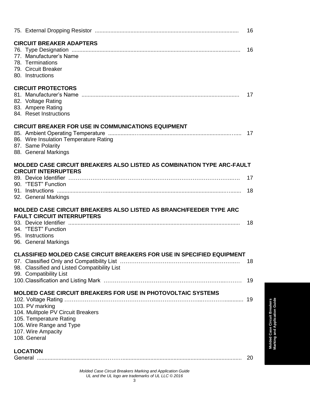|                 |                                                                                                                                                   | 16   |
|-----------------|---------------------------------------------------------------------------------------------------------------------------------------------------|------|
|                 | <b>CIRCUIT BREAKER ADAPTERS</b><br>77. Manufacturer's Name<br>78. Terminations<br>79. Circuit Breaker<br>80. Instructions                         | 16   |
|                 | <b>CIRCUIT PROTECTORS</b><br>82. Voltage Rating<br>83. Ampere Rating<br>84. Reset Instructions                                                    | 17   |
|                 | <b>CIRCUIT BREAKER FOR USE IN COMMUNICATIONS EQUIPMENT</b><br>86. Wire Insulation Temperature Rating<br>87. Same Polarity<br>88. General Markings |      |
|                 | MOLDED CASE CIRCUIT BREAKERS ALSO LISTED AS COMBINATION TYPE ARC-FAULT                                                                            |      |
|                 | <b>CIRCUIT INTERRUPTERS</b>                                                                                                                       | 17   |
|                 | 90. "TEST" Function                                                                                                                               |      |
|                 | 92. General Markings                                                                                                                              | - 18 |
|                 | <b>MOLDED CASE CIRCUIT BREAKERS ALSO LISTED AS BRANCH/FEEDER TYPE ARC</b><br><b>FAULT CIRCUIT INTERRUPTERS</b>                                    |      |
|                 |                                                                                                                                                   | 18   |
|                 | 94. "TEST" Function<br>95. Instructions                                                                                                           |      |
|                 | 96. General Markings                                                                                                                              |      |
|                 | <b>CLASSIFIED MOLDED CASE CIRCUIT BREAKERS FOR USE IN SPECIFIED EQUIPMENT</b>                                                                     | 18   |
|                 | 98. Classified and Listed Compatibility List<br>99. Compatibility List                                                                            |      |
|                 |                                                                                                                                                   |      |
|                 | <b>MOLDED CASE CIRCUIT BREAKERS FOR USE IN PHOTOVOLTAIC SYSTEMS</b>                                                                               |      |
|                 | 103. PV marking                                                                                                                                   |      |
|                 | 104. Mulitpole PV Circuit Breakers                                                                                                                |      |
|                 | 105. Temperature Rating<br>106. Wire Range and Type                                                                                               |      |
|                 | 107. Wire Ampacity                                                                                                                                |      |
| 108. General    |                                                                                                                                                   |      |
| <b>LOCATION</b> |                                                                                                                                                   |      |
|                 |                                                                                                                                                   |      |

*Molded Case Circuit Breakers Marking and Application Guide UL and the UL logo are trademarks of UL LLC © 2016*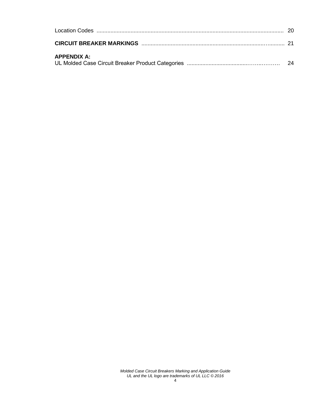| <b>APPENDIX A:</b> |  |
|--------------------|--|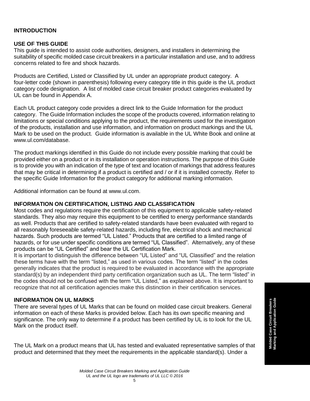#### **INTRODUCTION**

#### **USE OF THIS GUIDE**

This guide is intended to assist code authorities, designers, and installers in determining the suitability of specific molded case circuit breakers in a particular installation and use, and to address concerns related to fire and shock hazards.

Products are Certified, Listed or Classified by UL under an appropriate product category. A four-letter code (shown in parenthesis) following every category title in this guide is the UL product category code designation. A list of molded case circuit breaker product categories evaluated by UL can be found in Appendix A.

Each UL product category code provides a direct link to the Guide Information for the product category. The Guide Information includes the scope of the products covered, information relating to limitations or special conditions applying to the product, the requirements used for the investigation of the products, installation and use information, and information on product markings and the UL Mark to be used on the product. Guide information is available in the UL White Book and online at www.ul.com/database.

The product markings identified in this Guide do not include every possible marking that could be provided either on a product or in its installation or operation instructions. The purpose of this Guide is to provide you with an indication of the type of text and location of markings that address features that may be critical in determining if a product is certified and / or if it is installed correctly. Refer to the specific Guide Information for the product category for additional marking information.

Additional information can be found at www.ul.com.

#### **INFORMATION ON CERTIFICATION, LISTING AND CLASSIFICATION**

Most codes and regulations require the certification of this equipment to applicable safety-related standards. They also may require this equipment to be certified to energy performance standards as well. Products that are certified to safety-related standards have been evaluated with regard to all reasonably foreseeable safety-related hazards, including fire, electrical shock and mechanical hazards. Such products are termed "UL Listed." Products that are certified to a limited range of hazards, or for use under specific conditions are termed "UL Classified". Alternatively, any of these products can be "UL Certified" and bear the UL Certification Mark.

It is important to distinguish the difference between "UL Listed" and "UL Classified" and the relation these terms have with the term "listed," as used in various codes. The term "listed" in the codes generally indicates that the product is required to be evaluated in accordance with the appropriate standard(s) by an independent third party certification organization such as UL. The term "listed" in the codes should not be confused with the term "UL Listed," as explained above. It is important to recognize that not all certification agencies make this distinction in their certification services.

#### **INFORMATION ON UL MARKS**

There are several types of UL Marks that can be found on molded case circuit breakers. General information on each of these Marks is provided below. Each has its own specific meaning and significance. The only way to determine if a product has been certified by UL is to look for the UL Mark on the product itself.

The UL Mark on a product means that UL has tested and evaluated representative samples of that product and determined that they meet the requirements in the applicable standard(s). Under a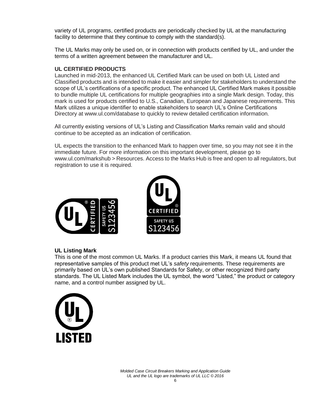variety of UL programs, certified products are periodically checked by UL at the manufacturing facility to determine that they continue to comply with the standard(s).

The UL Marks may only be used on, or in connection with products certified by UL, and under the terms of a written agreement between the manufacturer and UL.

#### **UL CERTIFIED PRODUCTS**

Launched in mid-2013, the enhanced UL Certified Mark can be used on both UL Listed and Classified products and is intended to make it easier and simpler for stakeholders to understand the scope of UL's certifications of a specific product. The enhanced UL Certified Mark makes it possible to bundle multiple UL certifications for multiple geographies into a single Mark design. Today, this mark is used for products certified to U.S., Canadian, European and Japanese requirements. This Mark utilizes a unique identifier to enable stakeholders to search UL's Online Certifications Directory at www.ul.com/database to quickly to review detailed certification information.

All currently existing versions of UL's Listing and Classification Marks remain valid and should continue to be accepted as an indication of certification.

UL expects the transition to the enhanced Mark to happen over time, so you may not see it in the immediate future. For more information on this important development, please go to www.ul.com/markshub > Resources. Access to the Marks Hub is free and open to all regulators, but registration to use it is required.



#### **UL Listing Mark**

This is one of the most common UL Marks. If a product carries this Mark, it means UL found that representative samples of this product met UL's *safety* requirements. These requirements are primarily based on UL's own published Standards for Safety, or other recognized third party standards. The UL Listed Mark includes the UL symbol, the word "Listed," the product or category name, and a control number assigned by UL.

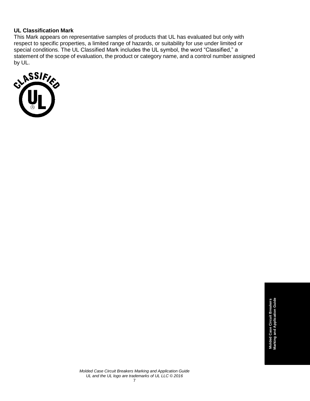#### **UL Classification Mark**

This Mark appears on representative samples of products that UL has evaluated but only with respect to specific properties, a limited range of hazards, or suitability for use under limited or special conditions. The UL Classified Mark includes the UL symbol, the word "Classified," a statement of the scope of evaluation, the product or category name, and a control number assigned

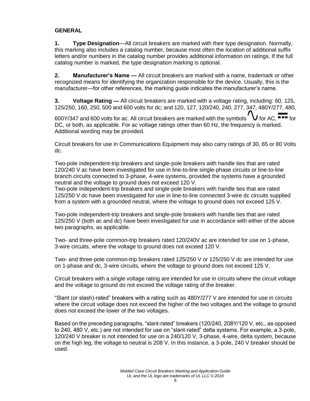#### **GENERAL**

**1. Type Designation**—All circuit breakers are marked with their type designation. Normally, this marking also includes a catalog number, because most often the location of additional suffix letters and/or numbers in the catalog number provides additional information on ratings. If the full catalog number is marked, the type designation marking is optional.

**2. Manufacturer's Name —** All circuit breakers are marked with a name, trademark or other recognized means for identifying the organization responsible for the device. Usually, this is the manufacturer—for other references, the marking guide indicates the manufacturer's name.

**3. Voltage Rating —** All circuit breakers are marked with a voltage rating, including: 60, 125, 125/250, 160, 250, 500 and 600 volts for dc; and 120, 127, 120/240, 240, 277, 347, 480Y/277, 480,

600Y/347 and 600 volts for ac. All circuit breakers are marked with the symbols  $'V$  for AC,  $\overline{\bullet\bullet\bullet}$  for DC, or both, as applicable. For ac voltage ratings other than 60 Hz, the frequency is marked. Additional wording may be provided.

Circuit breakers for use in Communications Equipment may also carry ratings of 30, 65 or 80 Volts dc.

Two-pole independent-trip breakers and single-pole breakers with handle ties that are rated 120/240 V ac have been investigated for use in line-to-line single-phase circuits or line-to-line branch circuits connected to 3-phase, 4-wire systems, provided the systems have a grounded neutral and the voltage to ground does not exceed 120 V.

Two-pole independent-trip breakers and single-pole breakers with handle ties that are rated 125/250 V dc have been investigated for use in line-to-line connected 3-wire dc circuits supplied from a system with a grounded neutral, where the voltage to ground does not exceed 125 V.

Two-pole independent-trip breakers and single-pole breakers with handle ties that are rated 125/250 V (both ac and dc) have been investigated for use in accordance with either of the above two paragraphs, as applicable.

Two- and three-pole common-trip breakers rated 120/240V ac are intended for use on 1-phase, 3-wire circuits, where the voltage to ground does not exceed 120 V.

Two- and three-pole common-trip breakers rated 125/250 V or 125/250 V dc are intended for use on 1-phase and dc, 3-wire circuits, where the voltage to ground does not exceed 125 V.

Circuit breakers with a single voltage rating are intended for use in circuits where the circuit voltage and the voltage to ground do not exceed the voltage rating of the breaker.

"Slant (or slash)-rated" breakers with a rating such as 480Y/277 V are intended for use in circuits where the circuit voltage does not exceed the higher of the two voltages and the voltage to ground does not exceed the lower of the two voltages.

Based on the preceding paragraphs, "slant-rated" breakers (120/240, 208Y/120 V, etc., as opposed to 240, 480 V, etc.) are not intended for use on "slant-rated" delta systems. For example, a 3-pole, 120/240 V breaker is not intended for use on a 240/120 V, 3-phase, 4-wire, delta system, because on the high leg, the voltage to neutral is 208 V. In this instance, a 3-pole, 240 V breaker should be used.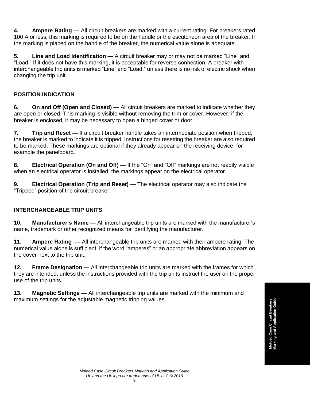**4. Ampere Rating —** All circuit breakers are marked with a current rating. For breakers rated 100 A or less, this marking is required to be on the handle or the escutcheon area of the breaker. If the marking is placed on the handle of the breaker, the numerical value alone is adequate.

**5. Line and Load Identification —** A circuit breaker may or may not be marked "Line" and "Load." If it does not have this marking, it is acceptable for reverse connection. A breaker with interchangeable trip units is marked "Line" and "Load," unless there is no risk of electric shock when changing the trip unit.

## **POSITION INDICATION**

**6. On and Off (Open and Closed) —** All circuit breakers are marked to indicate whether they are open or closed. This marking is visible without removing the trim or cover. However, if the breaker is enclosed, it may be necessary to open a hinged cover or door.

**7. Trip and Reset —** If a circuit breaker handle takes an intermediate position when tripped, the breaker is marked to indicate it is tripped. Instructions for resetting the breaker are also required to be marked. These markings are optional if they already appear on the receiving device, for example the panelboard.

**8. Electrical Operation (On and Off) —** If the "On" and "Off" markings are not readily visible when an electrical operator is installed, the markings appear on the electrical operator.

**9. Electrical Operation (Trip and Reset) —** The electrical operator may also indicate the "Tripped" position of the circuit breaker.

### **INTERCHANGEABLE TRIP UNITS**

**10. Manufacturer's Name —** All interchangeable trip units are marked with the manufacturer's name, trademark or other recognized means for identifying the manufacturer.

**11. Ampere Rating —** All interchangeable trip units are marked with their ampere rating. The numerical value alone is sufficient, if the word "amperes" or an appropriate abbreviation appears on the cover next to the trip unit.

**12. Frame Designation —** All interchangeable trip units are marked with the frames for which they are intended, unless the instructions provided with the trip units instruct the user on the proper use of the trip units.

**13. Magnetic Settings —** All interchangeable trip units are marked with the minimum and maximum settings for the adjustable magnetic tripping values.

**Molded Case Circuit Breakers**<br>Marking and Application Guide **Marking and Application Guide Molded Case Circuit Breakers**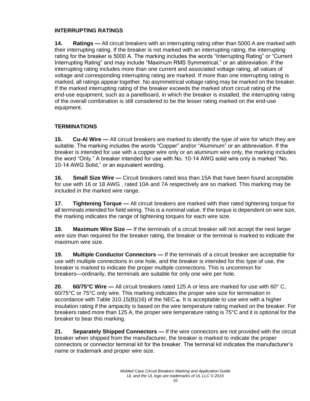#### **INTERRUPTING RATINGS**

**14. Ratings —** All circuit breakers with an interrupting rating other than 5000 A are marked with their interrupting rating. If the breaker is not marked with an interrupting rating, the interrupting rating for the breaker is 5000 A. The marking includes the words "Interrupting Rating" or "Current Interrupting Rating" and may include "Maximum RMS Symmetrical," or an abbreviation. If the interrupting rating includes more than one current and associated voltage rating, all values of voltage and corresponding interrupting rating are marked. If more than one interrupting rating is marked, all ratings appear together. No asymmetrical voltage rating may be marked on the breaker. If the marked interrupting rating of the breaker exceeds the marked short circuit rating of the end-use equipment, such as a panelboard, in which the breaker is installed, the interrupting rating of the overall combination is still considered to be the lesser rating marked on the end-use equipment.

## **TERMINATIONS**

**15. Cu-Al Wire —** All circuit breakers are marked to identify the type of wire for which they are suitable. The marking includes the words "Copper" and/or "Aluminum" or an abbreviation. If the breaker is intended for use with a copper wire only or an aluminum wire only, the marking includes the word "Only." A breaker intended for use with No. 10-14 AWG solid wire only is marked "No. 10-14 AWG Solid," or an equivalent wording.

**16. Small Size Wire —** Circuit breakers rated less than 15A that have been found acceptable for use with 16 or 18 AWG , rated 10A and 7A respectively are so marked. This marking may be included in the marked wire range.

**17. Tightening Torque —** All circuit breakers are marked with their rated tightening torque for all terminals intended for field wiring. This is a nominal value. If the torque is dependent on wire size, the marking indicates the range of tightening torques for each wire size.

**18. Maximum Wire Size —** If the terminals of a circuit breaker will not accept the next larger wire size than required for the breaker rating, the breaker or the terminal is marked to indicate the maximum wire size.

**19. Multiple Conductor Connectors —** If the terminals of a circuit breaker are acceptable for use with multiple connections in one hole, and the breaker is intended for this type of use, the breaker is marked to indicate the proper multiple connections. This is uncommon for breakers—ordinarily, the terminals are suitable for only one wire per hole.

**20. 60/75°C Wire —** All circuit breakers rated 125 A or less are marked for use with 60° C, 60/75°C or 75°C only wire. This marking indicates the proper wire size for termination in accordance with Table 310.15(B)(16) of the NEC  $\omega$ . It is acceptable to use wire with a higher insulation rating if the ampacity is based on the wire temperature rating marked on the breaker. For breakers rated more than 125 A, the proper wire temperature rating is 75°C and it is optional for the breaker to bear this marking.

**21. Separately Shipped Connectors —** If the wire connectors are not provided with the circuit breaker when shipped from the manufacturer, the breaker is marked to indicate the proper connectors or connector terminal kit for the breaker. The terminal kit indicates the manufacturer's name or trademark and proper wire size.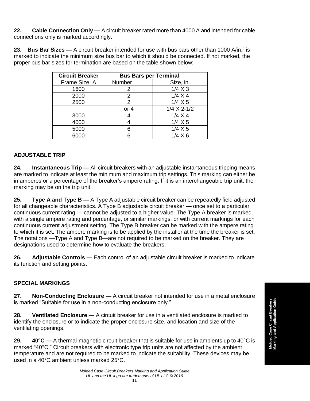**22. Cable Connection Only —** A circuit breaker rated more than 4000 A and intended for cable connections only is marked accordingly.

**23. Bus Bar Sizes —** A circuit breaker intended for use with bus bars other than 1000 A/in.² is marked to indicate the minimum size bus bar to which it should be connected. If not marked, the proper bus bar sizes for termination are based on the table shown below:

| <b>Circuit Breaker</b> | <b>Bus Bars per Terminal</b> |                |
|------------------------|------------------------------|----------------|
| Frame Size, A          | Number                       | Size, in.      |
| 1600                   |                              | $1/4$ X 3      |
| 2000                   | 2                            | $1/4 \times 4$ |
| 2500                   | 2                            | $1/4 \times 5$ |
|                        | or $4$                       | $1/4$ X 2-1/2  |
| 3000                   |                              | $1/4 \times 4$ |
| 4000                   |                              | $1/4 \times 5$ |
| 5000                   |                              | $1/4$ X 5      |
| 6000                   |                              | $1/4 \times 6$ |

### **ADJUSTABLE TRIP**

**24. Instantaneous Trip —** All circuit breakers with an adjustable instantaneous tripping means are marked to indicate at least the minimum and maximum trip settings. This marking can either be in amperes or a percentage of the breaker's ampere rating. If it is an interchangeable trip unit, the marking may be on the trip unit.

**25. Type A and Type B —** A Type A adjustable circuit breaker can be repeatedly field adjusted for all changeable characteristics. A Type B adjustable circuit breaker — once set to a particular continuous current rating — cannot be adjusted to a higher value. The Type A breaker is marked with a single ampere rating and percentage, or similar markings, or with current markings for each continuous current adjustment setting. The Type B breaker can be marked with the ampere rating to which it is set. The ampere marking is to be applied by the installer at the time the breaker is set. The notations —Type A and Type B—are not required to be marked on the breaker. They are designations used to determine how to evaluate the breakers.

**26. Adjustable Controls —** Each control of an adjustable circuit breaker is marked to indicate its function and setting points.

### **SPECIAL MARKINGS**

**27. Non-Conducting Enclosure —** A circuit breaker not intended for use in a metal enclosure is marked "Suitable for use in a non-conducting enclosure only."

**28. Ventilated Enclosure —** A circuit breaker for use in a ventilated enclosure is marked to identify the enclosure or to indicate the proper enclosure size, and location and size of the ventilating openings.

**29. 40°C —** A thermal-magnetic circuit breaker that is suitable for use in ambients up to 40°C is marked "40°C." Circuit breakers with electronic type trip units are not affected by the ambient temperature and are not required to be marked to indicate the suitability. These devices may be used in a 40°C ambient unless marked 25°C.

**Molded Case Circuit Breakers**<br>Marking and Application Guide **Marking and Application Guide Molded Case Circuit Breakers**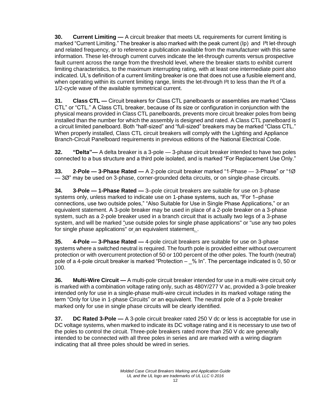**30. Current Limiting —** A circuit breaker that meets UL requirements for current limiting is marked "Current Limiting." The breaker is also marked with the peak current (Ip) and I²t let-through and related frequency, or to reference a publication available from the manufacturer with this same information. These let-through current curves indicate the let-through currents versus prospective fault current across the range from the threshold level, where the breaker starts to exhibit current limiting characteristics, to the maximum interrupting rating, with at least one intermediate point also indicated. UL's definition of a current limiting breaker is one that does not use a fusible element and, when operating within its current limiting range, limits the let-through I<sup>2</sup>t to less than the I<sup>2</sup>t of a 1/2-cycle wave of the available symmetrical current.

**31. Class CTL —** Circuit breakers for Class CTL panelboards or assemblies are marked "Class CTL" or "CTL." A Class CTL breaker, because of its size or configuration in conjunction with the physical means provided in Class CTL panelboards, prevents more circuit breaker poles from being installed than the number for which the assembly is designed and rated. A Class CTL panelboard is a circuit limited panelboard. Both "half-sized" and "full-sized" breakers may be marked "Class CTL." When properly installed, Class CTL circuit breakers will comply with the Lighting and Appliance Branch-Circuit Panelboard requirements in previous editions of the National Electrical Code.

**32. "Delta"—** A delta breaker is a 3-pole — 3-phase circuit breaker intended to have two poles connected to a bus structure and a third pole isolated, and is marked "For Replacement Use Only."

**33. 2-Pole — 3-Phase Rated —** A 2-pole circuit breaker marked "1-Phase — 3-Phase" or "1Ø — 3Ø" may be used on 3-phase, corner-grounded delta circuits, or on single-phase circuits.

**34. 3-Pole — 1-Phase Rated —** 3–pole circuit breakers are suitable for use on 3-phase systems only, unless marked to indicate use on 1-phase systems, such as, "For 1–phase connections, use two outside poles," "Also Suitable for Use in Single Phase Applications," or an equivalent statement. A 3-pole breaker may be used in place of a 2-pole breaker on a 3-phase system, such as a 2-pole breaker used in a branch circuit that is actually two legs of a 3-phase system, and will be marked "use outside poles for single phase applications" or "use any two poles for single phase applications" or an equivalent statement. .

**35. 4-Pole — 3-Phase Rated —** 4-pole circuit breakers are suitable for use on 3-phase systems where a switched neutral is required. The fourth pole is provided either without overcurrent protection or with overcurrent protection of 50 or 100 percent of the other poles. The fourth (neutral) pole of a 4-pole circuit breaker is marked "Protection – \_% In". The percentage indicated is 0, 50 or 100.

**36. Multi-Wire Circuit —** A multi-pole circuit breaker intended for use in a multi-wire circuit only is marked with a combination voltage rating only, such as 480Y/277 V ac, provided a 3-pole breaker intended only for use in a single-phase multi-wire circuit includes in its marked voltage rating the term "Only for Use in 1-phase Circuits" or an equivalent. The neutral pole of a 3-pole breaker marked only for use in single phase circuits will be clearly identified.

**37. DC Rated 3-Pole —** A 3-pole circuit breaker rated 250 V dc or less is acceptable for use in DC voltage systems, when marked to indicate its DC voltage rating and it is necessary to use two of the poles to control the circuit. Three-pole breakers rated more than 250 V dc are generally intended to be connected with all three poles in series and are marked with a wiring diagram indicating that all three poles should be wired in series.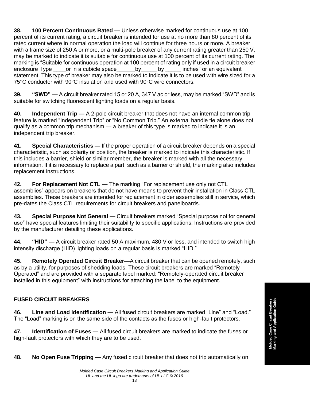**38. 100 Percent Continuous Rated —** Unless otherwise marked for continuous use at 100 percent of its current rating, a circuit breaker is intended for use at no more than 80 percent of its rated current where in normal operation the load will continue for three hours or more. A breaker with a frame size of 250 A or more, or a multi-pole breaker of any current rating greater than 250 V, may be marked to indicate it is suitable for continuous use at 100 percent of its current rating. The marking is "Suitable for continuous operation at 100 percent of rating only if used in a circuit breaker enclosure Type or in a cubicle space by by inches" or an equivalent statement. This type of breaker may also be marked to indicate it is to be used with wire sized for a 75°C conductor with 90°C insulation and used with 90°C wire connectors.

**39. "SWD" —** A circuit breaker rated 15 or 20 A, 347 V ac or less, may be marked "SWD" and is suitable for switching fluorescent lighting loads on a regular basis.

**40. Independent Trip —** A 2-pole circuit breaker that does not have an internal common trip feature is marked "Independent Trip" or "No Common Trip." An external handle tie alone does not qualify as a common trip mechanism — a breaker of this type is marked to indicate it is an independent trip breaker.

**41. Special Characteristics —** If the proper operation of a circuit breaker depends on a special characteristic, such as polarity or position, the breaker is marked to indicate this characteristic. If this includes a barrier, shield or similar member, the breaker is marked with all the necessary information. If it is necessary to replace a part, such as a barrier or shield, the marking also includes replacement instructions.

**42. For Replacement Not CTL —** The marking "For replacement use only not CTL assemblies" appears on breakers that do not have means to prevent their installation in Class CTL assemblies. These breakers are intended for replacement in older assemblies still in service, which pre-dates the Class CTL requirements for circuit breakers and panelboards.

**43. Special Purpose Not General —** Circuit breakers marked "Special purpose not for general use" have special features limiting their suitability to specific applications. Instructions are provided by the manufacturer detailing these applications.

**44. "HID" —** A circuit breaker rated 50 A maximum, 480 V or less, and intended to switch high intensity discharge (HID) lighting loads on a regular basis is marked "HID."

**45. Remotely Operated Circuit Breaker—**A circuit breaker that can be opened remotely, such as by a utility, for purposes of shedding loads. These circuit breakers are marked "Remotely Operated" and are provided with a separate label marked: "Remotely-operated circuit breaker installed in this equipment" with instructions for attaching the label to the equipment.

### **FUSED CIRCUIT BREAKERS**

**46. Line and Load Identification —** All fused circuit breakers are marked "Line" and "Load." The "Load" marking is on the same side of the contacts as the fuses or high-fault protectors.

**47. Identification of Fuses —** All fused circuit breakers are marked to indicate the fuses or high-fault protectors with which they are to be used.

**48. No Open Fuse Tripping —** Any fused circuit breaker that does not trip automatically on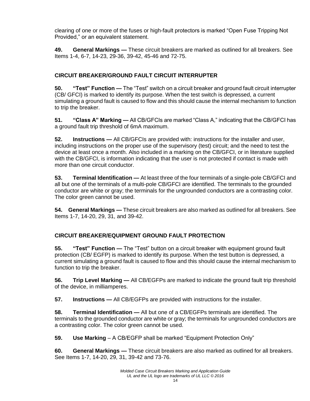clearing of one or more of the fuses or high-fault protectors is marked "Open Fuse Tripping Not Provided," or an equivalent statement.

**49. General Markings —** These circuit breakers are marked as outlined for all breakers. See Items 1-4, 6-7, 14-23, 29-36, 39-42, 45-46 and 72-75.

## **CIRCUIT BREAKER/GROUND FAULT CIRCUIT INTERRUPTER**

**50. "Test" Function —** The "Test" switch on a circuit breaker and ground fault circuit interrupter (CB/ GFCI) is marked to identify its purpose. When the test switch is depressed, a current simulating a ground fault is caused to flow and this should cause the internal mechanism to function to trip the breaker.

**51. "Class A" Marking —** All CB/GFCIs are marked "Class A," indicating that the CB/GFCI has a ground fault trip threshold of 6mA maximum.

**52. Instructions —** All CB/GFCIs are provided with: instructions for the installer and user, including instructions on the proper use of the supervisory (test) circuit; and the need to test the device at least once a month. Also included in a marking on the CB/GFCI, or in literature supplied with the CB/GFCI, is information indicating that the user is not protected if contact is made with more than one circuit conductor.

**53. Terminal Identification —** At least three of the four terminals of a single-pole CB/GFCI and all but one of the terminals of a multi-pole CB/GFCI are identified. The terminals to the grounded conductor are white or gray; the terminals for the ungrounded conductors are a contrasting color. The color green cannot be used.

**54. General Markings —** These circuit breakers are also marked as outlined for all breakers. See Items 1-7, 14-20, 29, 31, and 39-42.

## **CIRCUIT BREAKER/EQUIPMENT GROUND FAULT PROTECTION**

**55. "Test" Function —** The "Test" button on a circuit breaker with equipment ground fault protection (CB/ EGFP) is marked to identify its purpose. When the test button is depressed, a current simulating a ground fault is caused to flow and this should cause the internal mechanism to function to trip the breaker.

**56. Trip Level Marking —** All CB/EGFPs are marked to indicate the ground fault trip threshold of the device, in milliamperes.

**57. Instructions —** All CB/EGFPs are provided with instructions for the installer.

**58. Terminal Identification —** All but one of a CB/EGFPs terminals are identified. The terminals to the grounded conductor are white or gray; the terminals for ungrounded conductors are a contrasting color. The color green cannot be used.

**59. Use Marking** – A CB/EGFP shall be marked "Equipment Protection Only"

**60. General Markings —** These circuit breakers are also marked as outlined for all breakers. See Items 1-7, 14-20, 29, 31, 39-42 and 73-76.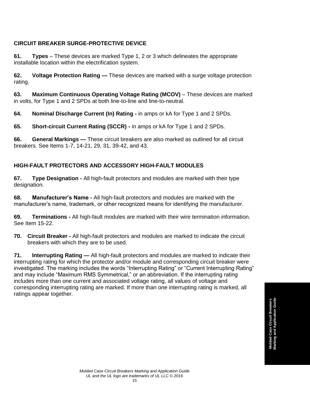## **CIRCUIT BREAKER SURGE-PROTECTIVE DEVICE**

**61. Types** – These devices are marked Type 1, 2 or 3 which delineates the appropriate installable location within the electrification system.

**62. Voltage Protection Rating —** These devices are marked with a surge voltage protection rating.

**63. Maximum Continuous Operating Voltage Rating (MCOV)** – These devices are marked in volts, for Type 1 and 2 SPDs at both line-to-line and line-to-neutral.

**64. Nominal Discharge Current (In) Rating -** in amps or kA for Type 1 and 2 SPDs.

**65. Short-circuit Current Rating (SCCR) -** in amps or kA for Type 1 and 2 SPDs.

**66. General Markings —** These circuit breakers are also marked as outlined for all circuit breakers. See Items 1-7, 14-21, 29, 31, 39-42, and 43.

### **HIGH-FAULT PROTECTORS AND ACCESSORY HIGH-FAULT MODULES**

**67. Type Designation -** All high-fault protectors and modules are marked with their type designation.

**68. Manufacturer's Name -** All high-fault protectors and modules are marked with the manufacturer's name, trademark, or other recognized means for identifying the manufacturer.

**69. Terminations -** All high-fault modules are marked with their wire termination information. See Item 15-22.

**70. Circuit Breaker -** All high-fault protectors and modules are marked to indicate the circuit breakers with which they are to be used.

**71. Interrupting Rating —** All high-fault protectors and modules are marked to indicate their interrupting rating for which the protector and/or module and corresponding circuit breaker were investigated. The marking includes the words "Interrupting Rating" or "Current Interrupting Rating" and may include "Maximum RMS Symmetrical," or an abbreviation. If the interrupting rating includes more than one current and associated voltage rating, all values of voltage and corresponding interrupting rating are marked. If more than one interrupting rating is marked, all ratings appear together.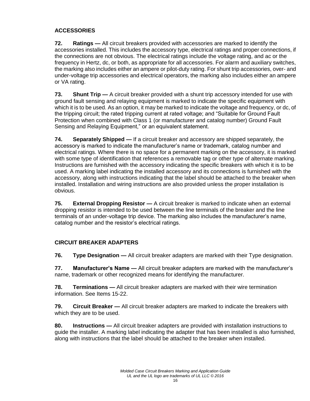## **ACCESSORIES**

**72. Ratings —** All circuit breakers provided with accessories are marked to identify the accessories installed. This includes the accessory type, electrical ratings and proper connections, if the connections are not obvious. The electrical ratings include the voltage rating, and ac or the frequency in Hertz, dc, or both, as appropriate for all accessories. For alarm and auxiliary switches, the marking also includes either an ampere or pilot-duty rating. For shunt trip accessories, over- and under-voltage trip accessories and electrical operators, the marking also includes either an ampere or VA rating.

**73. Shunt Trip —** A circuit breaker provided with a shunt trip accessory intended for use with ground fault sensing and relaying equipment is marked to indicate the specific equipment with which it is to be used. As an option, it may be marked to indicate the voltage and frequency, or dc, of the tripping circuit; the rated tripping current at rated voltage; and "Suitable for Ground Fault Protection when combined with Class 1 (or manufacturer and catalog number) Ground Fault Sensing and Relaying Equipment," or an equivalent statement.

**74. Separately Shipped —** If a circuit breaker and accessory are shipped separately, the accessory is marked to indicate the manufacturer's name or trademark, catalog number and electrical ratings. Where there is no space for a permanent marking on the accessory, it is marked with some type of identification that references a removable tag or other type of alternate marking. Instructions are furnished with the accessory indicating the specific breakers with which it is to be used. A marking label indicating the installed accessory and its connections is furnished with the accessory, along with instructions indicating that the label should be attached to the breaker when installed. Installation and wiring instructions are also provided unless the proper installation is obvious.

**75. External Dropping Resistor —** A circuit breaker is marked to indicate when an external dropping resistor is intended to be used between the line terminals of the breaker and the line terminals of an under-voltage trip device. The marking also includes the manufacturer's name, catalog number and the resistor's electrical ratings.

## **CIRCUIT BREAKER ADAPTERS**

**76. Type Designation —** All circuit breaker adapters are marked with their Type designation.

**77. Manufacturer's Name —** All circuit breaker adapters are marked with the manufacturer's name, trademark or other recognized means for identifying the manufacturer.

**78. Terminations —** All circuit breaker adapters are marked with their wire termination information. See Items 15-22.

**79. Circuit Breaker —** All circuit breaker adapters are marked to indicate the breakers with which they are to be used.

**80. Instructions —** All circuit breaker adapters are provided with installation instructions to guide the installer. A marking label indicating the adapter that has been installed is also furnished, along with instructions that the label should be attached to the breaker when installed.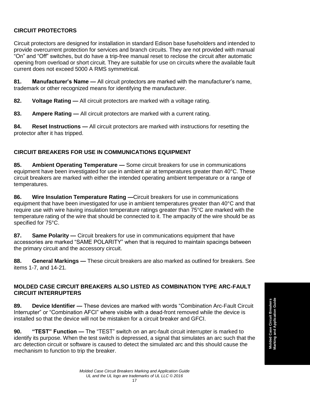## **CIRCUIT PROTECTORS**

Circuit protectors are designed for installation in standard Edison base fuseholders and intended to provide overcurrent protection for services and branch circuits. They are not provided with manual "On" and "Off" switches, but do have a trip-free manual reset to reclose the circuit after automatic opening from overload or short circuit. They are suitable for use on circuits where the available fault current does not exceed 5000 A RMS symmetrical.

**81. Manufacturer's Name —** All circuit protectors are marked with the manufacturer's name, trademark or other recognized means for identifying the manufacturer.

**82. Voltage Rating —** All circuit protectors are marked with a voltage rating.

**83. Ampere Rating —** All circuit protectors are marked with a current rating.

**84. Reset Instructions —** All circuit protectors are marked with instructions for resetting the protector after it has tripped.

## **CIRCUIT BREAKERS FOR USE IN COMMUNICATIONS EQUIPMENT**

**85. Ambient Operating Temperature —** Some circuit breakers for use in communications equipment have been investigated for use in ambient air at temperatures greater than 40°C. These circuit breakers are marked with either the intended operating ambient temperature or a range of temperatures.

**86. Wire Insulation Temperature Rating —**Circuit breakers for use in communications equipment that have been investigated for use in ambient temperatures greater than 40°C and that require use with wire having insulation temperature ratings greater than 75°C are marked with the temperature rating of the wire that should be connected to it. The ampacity of the wire should be as specified for 75°C.

**87. Same Polarity —** Circuit breakers for use in communications equipment that have accessories are marked "SAME POLARITY" when that is required to maintain spacings between the primary circuit and the accessory circuit.

**88. General Markings —** These circuit breakers are also marked as outlined for breakers. See items 1-7, and 14-21.

### **MOLDED CASE CIRCUIT BREAKERS ALSO LISTED AS COMBINATION TYPE ARC-FAULT CIRCUIT INTERRUPTERS**

**89. Device Identifier —** These devices are marked with words "Combination Arc-Fault Circuit Interrupter" or "Combination AFCI" where visible with a dead-front removed while the device is installed so that the device will not be mistaken for a circuit breaker and GFCI.

**90. "TEST" Function —** The "TEST" switch on an arc-fault circuit interrupter is marked to identify its purpose. When the test switch is depressed, a signal that simulates an arc such that the arc detection circuit or software is caused to detect the simulated arc and this should cause the mechanism to function to trip the breaker.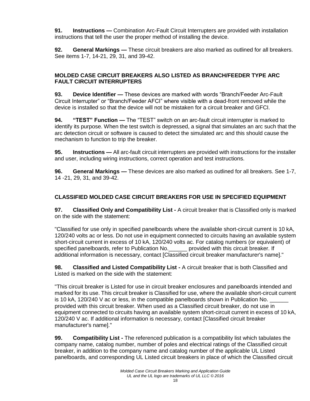**91. Instructions —** Combination Arc-Fault Circuit Interrupters are provided with installation instructions that tell the user the proper method of installing the device.

**92. General Markings —** These circuit breakers are also marked as outlined for all breakers. See items 1-7, 14-21, 29, 31, and 39-42.

#### **MOLDED CASE CIRCUIT BREAKERS ALSO LISTED AS BRANCH/FEEDER TYPE ARC FAULT CIRCUIT INTERRUPTERS**

**93. Device Identifier —** These devices are marked with words "Branch/Feeder Arc-Fault Circuit Interrupter" or "Branch/Feeder AFCI" where visible with a dead-front removed while the device is installed so that the device will not be mistaken for a circuit breaker and GFCI.

**94. "TEST" Function —** The "TEST" switch on an arc-fault circuit interrupter is marked to identify its purpose. When the test switch is depressed, a signal that simulates an arc such that the arc detection circuit or software is caused to detect the simulated arc and this should cause the mechanism to function to trip the breaker.

**95. Instructions —** All arc-fault circuit interrupters are provided with instructions for the installer and user, including wiring instructions, correct operation and test instructions.

**96. General Markings —** These devices are also marked as outlined for all breakers. See 1-7, 14 -21, 29, 31, and 39-42.

### **CLASSIFIED MOLDED CASE CIRCUIT BREAKERS FOR USE IN SPECIFIED EQUIPMENT**

**97. Classified Only and Compatibility List -** A circuit breaker that is Classified only is marked on the side with the statement:

"Classified for use only in specified panelboards where the available short-circuit current is 10 kA, 120/240 volts ac or less. Do not use in equipment connected to circuits having an available system short-circuit current in excess of 10 kA, 120/240 volts ac. For catalog numbers (or equivalent) of specified panelboards, refer to Publication No. The provided with this circuit breaker. If additional information is necessary, contact [Classified circuit breaker manufacturer's name]."

**98. Classified and Listed Compatibility List -** A circuit breaker that is both Classified and Listed is marked on the side with the statement:

"This circuit breaker is Listed for use in circuit breaker enclosures and panelboards intended and marked for its use. This circuit breaker is Classified for use, where the available short-circuit current is 10 kA, 120/240 V ac or less, in the compatible panelboards shown in Publication No. provided with this circuit breaker. When used as a Classified circuit breaker, do not use in equipment connected to circuits having an available system short-circuit current in excess of 10 kA, 120/240 V ac. If additional information is necessary, contact [Classified circuit breaker manufacturer's name]."

**99. Compatibility List -** The referenced publication is a compatibility list which tabulates the company name, catalog number, number of poles and electrical ratings of the Classified circuit breaker, in addition to the company name and catalog number of the applicable UL Listed panelboards, and corresponding UL Listed circuit breakers in place of which the Classified circuit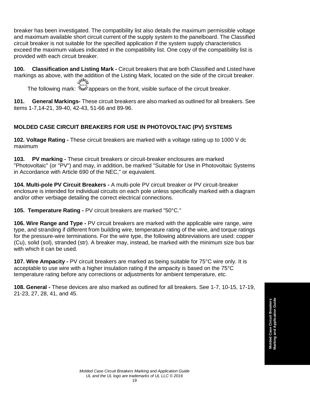breaker has been investigated. The compatibility list also details the maximum permissible voltage and maximum available short circuit current of the supply system to the panelboard. The Classified circuit breaker is not suitable for the specified application if the system supply characteristics exceed the maximum values indicated in the compatibility list. One copy of the compatibility list is provided with each circuit breaker.

**100. Classification and Listing Mark -** Circuit breakers that are both Classified and Listed have markings as above, with the addition of the Listing Mark, located on the side of the circuit breaker.<br>جالاس

The following mark:  $\mathcal{P}_{\text{NN}}$  appears on the front, visible surface of the circuit breaker.

**101. General Markings-** These circuit breakers are also marked as outlined for all breakers. See items 1-7,14-21, 39-40, 42-43, 51-66 and 89-96.

## **MOLDED CASE CIRCUIT BREAKERS FOR USE IN PHOTOVOLTAIC (PV) SYSTEMS**

**102. Voltage Rating -** These circuit breakers are marked with a voltage rating up to 1000 V dc maximum

**103. PV marking -** These circuit breakers or circuit-breaker enclosures are marked "Photovoltaic" (or "PV") and may, in addition, be marked "Suitable for Use in Photovoltaic Systems in Accordance with Article 690 of the NEC," or equivalent.

**104. Multi-pole PV Circuit Breakers -** A multi-pole PV circuit breaker or PV circuit-breaker enclosure is intended for individual circuits on each pole unless specifically marked with a diagram and/or other verbiage detailing the correct electrical connections.

**105. Temperature Rating -** PV circuit breakers are marked "50°C."

**106. Wire Range and Type -** PV circuit breakers are marked with the applicable wire range, wire type, and stranding if different from building wire, temperature rating of the wire, and torque ratings for the pressure-wire terminations. For the wire type, the following abbreviations are used: copper (Cu), solid (sol), stranded (str). A breaker may, instead, be marked with the minimum size bus bar with which it can be used.

**107. Wire Ampacity -** PV circuit breakers are marked as being suitable for 75°C wire only. It is acceptable to use wire with a higher insulation rating if the ampacity is based on the 75°C temperature rating before any corrections or adjustments for ambient temperature, etc.

**108. General -** These devices are also marked as outlined for all breakers. See 1-7, 10-15, 17-19, 21-23, 27, 28, 41, and 45.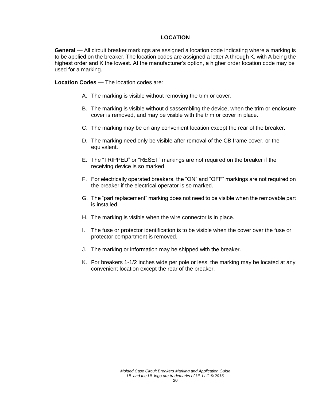#### **LOCATION**

**General** — All circuit breaker markings are assigned a location code indicating where a marking is to be applied on the breaker. The location codes are assigned a letter A through K, with A being the highest order and K the lowest. At the manufacturer's option, a higher order location code may be used for a marking.

**Location Codes —** The location codes are:

- A. The marking is visible without removing the trim or cover.
- B. The marking is visible without disassembling the device, when the trim or enclosure cover is removed, and may be visible with the trim or cover in place.
- C. The marking may be on any convenient location except the rear of the breaker.
- D. The marking need only be visible after removal of the CB frame cover, or the equivalent.
- E. The "TRIPPED" or "RESET" markings are not required on the breaker if the receiving device is so marked.
- F. For electrically operated breakers, the "ON" and "OFF" markings are not required on the breaker if the electrical operator is so marked.
- G. The "part replacement" marking does not need to be visible when the removable part is installed.
- H. The marking is visible when the wire connector is in place.
- I. The fuse or protector identification is to be visible when the cover over the fuse or protector compartment is removed.
- J. The marking or information may be shipped with the breaker.
- K. For breakers 1-1/2 inches wide per pole or less, the marking may be located at any convenient location except the rear of the breaker.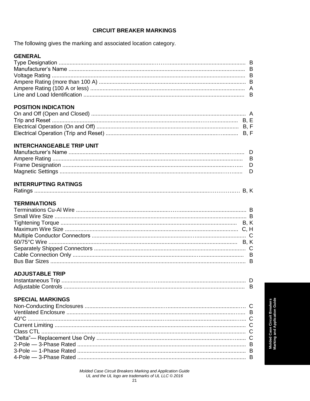#### **CIRCUIT BREAKER MARKINGS**

The following gives the marking and associated location category.

#### **GENERAL**

 $\mathbb{R}^2$ 

| <b>POSITION INDICATION</b> |  |
|----------------------------|--|
|                            |  |
|                            |  |

## 

#### **INTERCHANGEABLE TRIP UNIT**

## **INTERRUPTING RATINGS**

| - |
|---|

#### **TERMINATIONS**

### **ADJUSTABLE TRIP**

| Instantaneous T |  |
|-----------------|--|
|                 |  |

### **SPECIAL MARKINGS**

**Molded Case Circuit Breakers**<br>Marking and Application Guide

Molded Case Circuit Breakers Marking and Application Guide UL and the UL logo are trademarks of UL LLC © 2016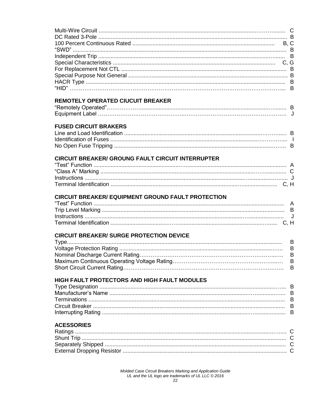| <b>REMOTELY OPERATED CIUCUIT BREAKER</b>                  |                             |
|-----------------------------------------------------------|-----------------------------|
|                                                           |                             |
| <b>FUSED CIRCUIT BRAKERS</b>                              |                             |
| <b>CIRCUIT BREAKER/ GROUNG FAULT CIRCUIT INTERRUPTER</b>  |                             |
| <b>CIRCUIT BREAKER/ EQUIPMENT GROUND FAULT PROTECTION</b> |                             |
|                                                           | J                           |
| <b>CIRCUIT BREAKER/ SURGE PROTECTION DEVICE</b>           | B<br>B<br>$\sf B$<br>B<br>B |
| HIGH FAULT PROTECTORS AND HIGH FAULT MODULES              |                             |

Molded Case Circuit Breakers Marking and Application Guide<br>UL and the UL logo are trademarks of UL LLC © 2016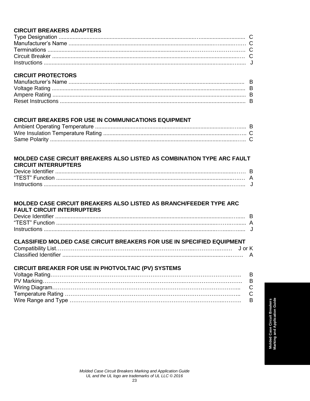## **CIRCUIT BREAKERS ADAPTERS**

## **CIRCUIT PROTECTORS**

## **CIRCUIT BREAKERS FOR USE IN COMMUNICATIONS EQUIPMENT**

#### MOLDED CASE CIRCUIT BREAKERS ALSO LISTED AS COMBINATION TYPE ARC FAULT **CIRCUIT INTERRUPTERS**

## MOLDED CASE CIRCUIT BREAKERS ALSO LISTED AS BRANCH/FEEDER TYPE ARC **FAULT CIRCUIT INTERRUPTERS**

## **CLASSIFIED MOLDED CASE CIRCUIT BREAKERS FOR USE IN SPECIFIED EQUIPMENT**

## **CIRCUIT BREAKER FOR USE IN PHOTVOLTAIC (PV) SYSTEMS**